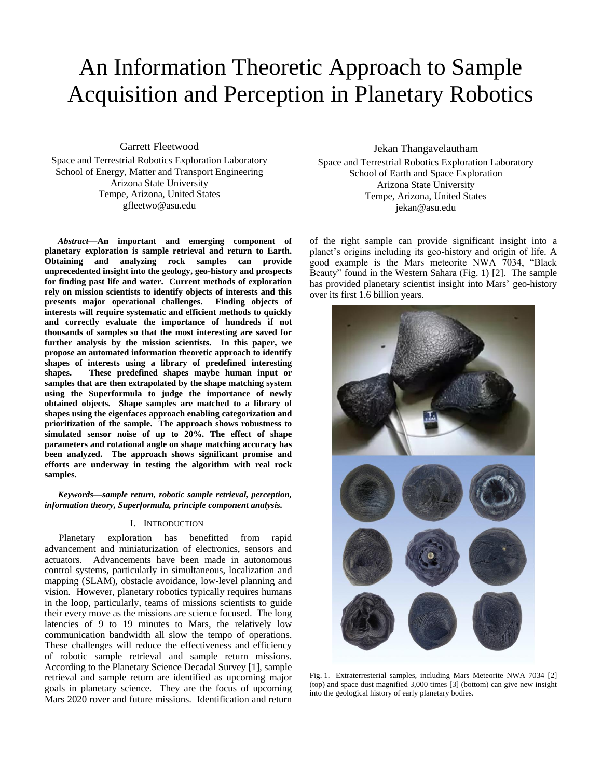# An Information Theoretic Approach to Sample Acquisition and Perception in Planetary Robotics

Garrett Fleetwood

Space and Terrestrial Robotics Exploration Laboratory School of Energy, Matter and Transport Engineering Arizona State University Tempe, Arizona, United States gfleetwo@asu.edu

*Abstract***—An important and emerging component of planetary exploration is sample retrieval and return to Earth. Obtaining and analyzing rock samples can provide unprecedented insight into the geology, geo-history and prospects for finding past life and water. Current methods of exploration rely on mission scientists to identify objects of interests and this presents major operational challenges. Finding objects of interests will require systematic and efficient methods to quickly and correctly evaluate the importance of hundreds if not thousands of samples so that the most interesting are saved for further analysis by the mission scientists. In this paper, we propose an automated information theoretic approach to identify shapes of interests using a library of predefined interesting shapes. These predefined shapes maybe human input or samples that are then extrapolated by the shape matching system using the Superformula to judge the importance of newly obtained objects. Shape samples are matched to a library of shapes using the eigenfaces approach enabling categorization and prioritization of the sample. The approach shows robustness to simulated sensor noise of up to 20%. The effect of shape parameters and rotational angle on shape matching accuracy has been analyzed. The approach shows significant promise and efforts are underway in testing the algorithm with real rock samples.**

*Keywords—sample return, robotic sample retrieval, perception, information theory, Superformula, principle component analysis.*

# I. INTRODUCTION

Planetary exploration has benefitted from rapid advancement and miniaturization of electronics, sensors and actuators. Advancements have been made in autonomous control systems, particularly in simultaneous, localization and mapping (SLAM), obstacle avoidance, low-level planning and vision. However, planetary robotics typically requires humans in the loop, particularly, teams of missions scientists to guide their every move as the missions are science focused. The long latencies of 9 to 19 minutes to Mars, the relatively low communication bandwidth all slow the tempo of operations. These challenges will reduce the effectiveness and efficiency of robotic sample retrieval and sample return missions. According to the Planetary Science Decadal Survey [1], sample retrieval and sample return are identified as upcoming major goals in planetary science. They are the focus of upcoming Mars 2020 rover and future missions. Identification and return

Jekan Thangavelautham Space and Terrestrial Robotics Exploration Laboratory School of Earth and Space Exploration Arizona State University Tempe, Arizona, United States jekan@asu.edu

of the right sample can provide significant insight into a planet's origins including its geo-history and origin of life. A good example is the Mars meteorite NWA 7034, "Black Beauty" found in the Western Sahara (Fig. 1) [2]. The sample has provided planetary scientist insight into Mars' geo-history over its first 1.6 billion years.



Fig. 1. Extraterresterial samples, including Mars Meteorite NWA 7034 [2] (top) and space dust magnified 3,000 times [3] (bottom) can give new insight into the geological history of early planetary bodies.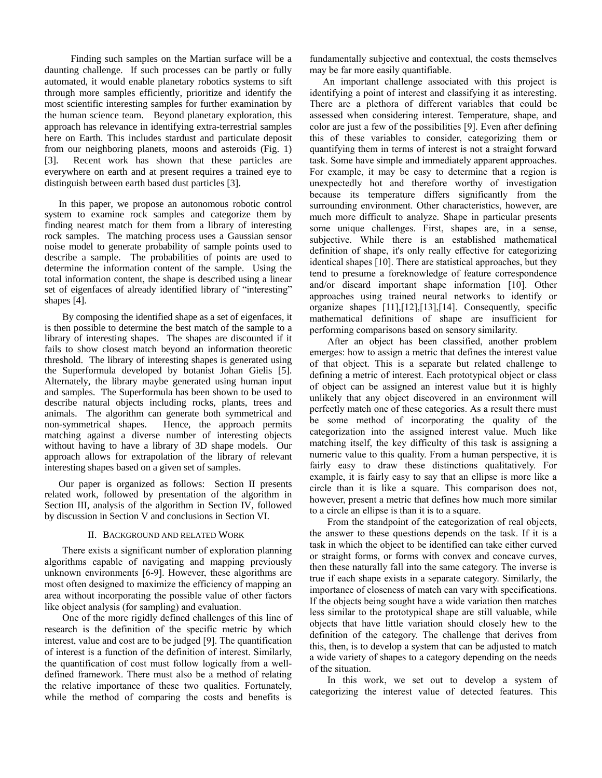Finding such samples on the Martian surface will be a daunting challenge. If such processes can be partly or fully automated, it would enable planetary robotics systems to sift through more samples efficiently, prioritize and identify the most scientific interesting samples for further examination by the human science team. Beyond planetary exploration, this approach has relevance in identifying extra-terrestrial samples here on Earth. This includes stardust and particulate deposit from our neighboring planets, moons and asteroids (Fig. 1) [3]. Recent work has shown that these particles are everywhere on earth and at present requires a trained eye to distinguish between earth based dust particles [3].

In this paper, we propose an autonomous robotic control system to examine rock samples and categorize them by finding nearest match for them from a library of interesting rock samples. The matching process uses a Gaussian sensor noise model to generate probability of sample points used to describe a sample. The probabilities of points are used to determine the information content of the sample. Using the total information content, the shape is described using a linear set of eigenfaces of already identified library of "interesting" shapes [4].

By composing the identified shape as a set of eigenfaces, it is then possible to determine the best match of the sample to a library of interesting shapes. The shapes are discounted if it fails to show closest match beyond an information theoretic threshold. The library of interesting shapes is generated using the Superformula developed by botanist Johan Gielis [5]. Alternately, the library maybe generated using human input and samples. The Superformula has been shown to be used to describe natural objects including rocks, plants, trees and animals. The algorithm can generate both symmetrical and non-symmetrical shapes. Hence, the approach permits matching against a diverse number of interesting objects without having to have a library of 3D shape models. Our approach allows for extrapolation of the library of relevant interesting shapes based on a given set of samples.

Our paper is organized as follows: Section II presents related work, followed by presentation of the algorithm in Section III, analysis of the algorithm in Section IV, followed by discussion in Section V and conclusions in Section VI.

# II. BACKGROUND AND RELATED WORK

There exists a significant number of exploration planning algorithms capable of navigating and mapping previously unknown environments [6-9]. However, these algorithms are most often designed to maximize the efficiency of mapping an area without incorporating the possible value of other factors like object analysis (for sampling) and evaluation.

One of the more rigidly defined challenges of this line of research is the definition of the specific metric by which interest, value and cost are to be judged [9]. The quantification of interest is a function of the definition of interest. Similarly, the quantification of cost must follow logically from a welldefined framework. There must also be a method of relating the relative importance of these two qualities. Fortunately, while the method of comparing the costs and benefits is

fundamentally subjective and contextual, the costs themselves may be far more easily quantifiable.

An important challenge associated with this project is identifying a point of interest and classifying it as interesting. There are a plethora of different variables that could be assessed when considering interest. Temperature, shape, and color are just a few of the possibilities [9]. Even after defining this of these variables to consider, categorizing them or quantifying them in terms of interest is not a straight forward task. Some have simple and immediately apparent approaches. For example, it may be easy to determine that a region is unexpectedly hot and therefore worthy of investigation because its temperature differs significantly from the surrounding environment. Other characteristics, however, are much more difficult to analyze. Shape in particular presents some unique challenges. First, shapes are, in a sense, subjective. While there is an established mathematical definition of shape, it's only really effective for categorizing identical shapes [10]. There are statistical approaches, but they tend to presume a foreknowledge of feature correspondence and/or discard important shape information [10]. Other approaches using trained neural networks to identify or organize shapes [11],[12],[13],[14]. Consequently, specific mathematical definitions of shape are insufficient for performing comparisons based on sensory similarity.

After an object has been classified, another problem emerges: how to assign a metric that defines the interest value of that object. This is a separate but related challenge to defining a metric of interest. Each prototypical object or class of object can be assigned an interest value but it is highly unlikely that any object discovered in an environment will perfectly match one of these categories. As a result there must be some method of incorporating the quality of the categorization into the assigned interest value. Much like matching itself, the key difficulty of this task is assigning a numeric value to this quality. From a human perspective, it is fairly easy to draw these distinctions qualitatively. For example, it is fairly easy to say that an ellipse is more like a circle than it is like a square. This comparison does not, however, present a metric that defines how much more similar to a circle an ellipse is than it is to a square.

From the standpoint of the categorization of real objects, the answer to these questions depends on the task. If it is a task in which the object to be identified can take either curved or straight forms, or forms with convex and concave curves, then these naturally fall into the same category. The inverse is true if each shape exists in a separate category. Similarly, the importance of closeness of match can vary with specifications. If the objects being sought have a wide variation then matches less similar to the prototypical shape are still valuable, while objects that have little variation should closely hew to the definition of the category. The challenge that derives from this, then, is to develop a system that can be adjusted to match a wide variety of shapes to a category depending on the needs of the situation.

In this work, we set out to develop a system of categorizing the interest value of detected features. This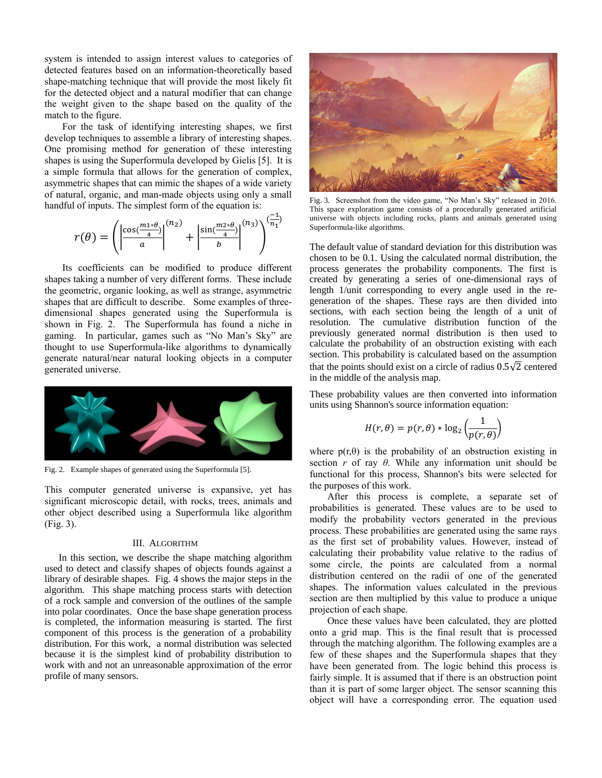system is intended to assign interest values to categories of detected features based on an information-theoretically based shape-matching technique that will provide the most likely fit for the detected object and a natural modifier that can change the weight given to the shape based on the quality of the match to the figure.

For the task of identifying interesting shapes, we first develop techniques to assemble a library of interesting shapes. One promising method for generation of these interesting shapes is using the Superformula developed by Gielis [5]. It is a simple formula that allows for the generation of complex, asymmetric shapes that can mimic the shapes of a wide variety of natural, organic, and man-made objects using only a small handful of inputs. The simplest form of the equation is:

$$
r(\theta) = \left(\left|\frac{\cos(\frac{m_1*\theta}{4})}{a}\right|^{(n_2)} + \left|\frac{\sin(\frac{m_2*\theta}{4})}{b}\right|^{(n_3)}\right)^{(\frac{-1}{n_1})}
$$

Its coefficients can be modified to produce different shapes taking a number of very different forms. These include the geometric, organic looking, as well as strange, asymmetric shapes that are difficult to describe. Some examples of threedimensional shapes generated using the Superformula is shown in Fig. 2. The Superformula has found a niche in gaming. In particular, games such as "No Man's Sky" are thought to use Superformula-like algorithms to dynamically generate natural/near natural looking objects in a computer generated universe.



Fig. 2. Example shapes of generated using the Superformula [5].

This computer generated universe is expansive, yet has significant microscopic detail, with rocks, trees, animals and other object described using a Superformula like algorithm (Fig. 3).

## III. ALGORITHM

In this section, we describe the shape matching algorithm used to detect and classify shapes of objects founds against a library of desirable shapes. Fig. 4 shows the major steps in the algorithm. This shape matching process starts with detection of a rock sample and conversion of the outlines of the sample into polar coordinates. Once the base shape generation process is completed, the information measuring is started. The first component of this process is the generation of a probability distribution. For this work, a normal distribution was selected because it is the simplest kind of probability distribution to work with and not an unreasonable approximation of the error profile of many sensors.



Fig. 3. Screenshot from the video game, "No Man's Sky" released in 2016. This space exploration game consists of a procedurally generated artificial universe with objects including rocks, plants and animals generated using Superformula-like algorithms.

The default value of standard deviation for this distribution was chosen to be 0.1. Using the calculated normal distribution, the process generates the probability components. The first is created by generating a series of one-dimensional rays of length 1/unit corresponding to every angle used in the regeneration of the shapes. These rays are then divided into sections, with each section being the length of a unit of resolution. The cumulative distribution function of the previously generated normal distribution is then used to calculate the probability of an obstruction existing with each section. This probability is calculated based on the assumption that the points should exist on a circle of radius  $0.5\sqrt{2}$  centered in the middle of the analysis map.

These probability values are then converted into information units using Shannon's source information equation:

$$
H(r, \theta) = p(r, \theta) * \log_2\left(\frac{1}{p(r, \theta)}\right)
$$

where  $p(r,\theta)$  is the probability of an obstruction existing in section *r* of ray *θ*. While any information unit should be functional for this process, Shannon's bits were selected for the purposes of this work.

After this process is complete, a separate set of probabilities is generated. These values are to be used to modify the probability vectors generated in the previous process. These probabilities are generated using the same rays as the first set of probability values. However, instead of calculating their probability value relative to the radius of some circle, the points are calculated from a normal distribution centered on the radii of one of the generated shapes. The information values calculated in the previous section are then multiplied by this value to produce a unique projection of each shape.

Once these values have been calculated, they are plotted onto a grid map. This is the final result that is processed through the matching algorithm. The following examples are a few of these shapes and the Superformula shapes that they have been generated from. The logic behind this process is fairly simple. It is assumed that if there is an obstruction point than it is part of some larger object. The sensor scanning this object will have a corresponding error. The equation used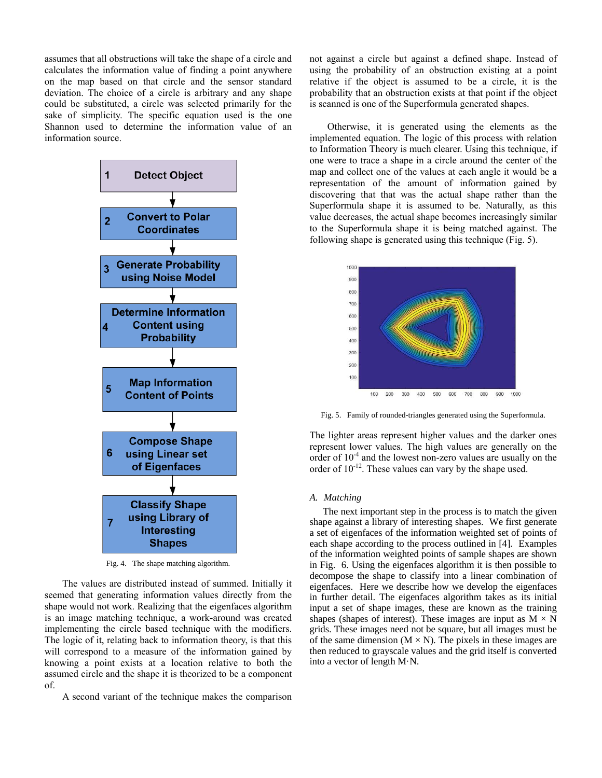assumes that all obstructions will take the shape of a circle and calculates the information value of finding a point anywhere on the map based on that circle and the sensor standard deviation. The choice of a circle is arbitrary and any shape could be substituted, a circle was selected primarily for the sake of simplicity. The specific equation used is the one Shannon used to determine the information value of an information source.



Fig. 4. The shape matching algorithm.

The values are distributed instead of summed. Initially it seemed that generating information values directly from the shape would not work. Realizing that the eigenfaces algorithm is an image matching technique, a work-around was created implementing the circle based technique with the modifiers. The logic of it, relating back to information theory, is that this will correspond to a measure of the information gained by knowing a point exists at a location relative to both the assumed circle and the shape it is theorized to be a component of.

A second variant of the technique makes the comparison

not against a circle but against a defined shape. Instead of using the probability of an obstruction existing at a point relative if the object is assumed to be a circle, it is the probability that an obstruction exists at that point if the object is scanned is one of the Superformula generated shapes.

Otherwise, it is generated using the elements as the implemented equation. The logic of this process with relation to Information Theory is much clearer. Using this technique, if one were to trace a shape in a circle around the center of the map and collect one of the values at each angle it would be a representation of the amount of information gained by discovering that that was the actual shape rather than the Superformula shape it is assumed to be. Naturally, as this value decreases, the actual shape becomes increasingly similar to the Superformula shape it is being matched against. The following shape is generated using this technique (Fig. 5).



Fig. 5. Family of rounded-triangles generated using the Superformula.

The lighter areas represent higher values and the darker ones represent lower values. The high values are generally on the order of 10-4 and the lowest non-zero values are usually on the order of  $10^{-12}$ . These values can vary by the shape used.

# *A. Matching*

The next important step in the process is to match the given shape against a library of interesting shapes. We first generate a set of eigenfaces of the information weighted set of points of each shape according to the process outlined in [4]. Examples of the information weighted points of sample shapes are shown in Fig. 6. Using the eigenfaces algorithm it is then possible to decompose the shape to classify into a linear combination of eigenfaces. Here we describe how we develop the eigenfaces in further detail. The eigenfaces algorithm takes as its initial input a set of shape images, these are known as the training shapes (shapes of interest). These images are input as  $M \times N$ grids. These images need not be square, but all images must be of the same dimension  $(M \times N)$ . The pixels in these images are then reduced to grayscale values and the grid itself is converted into a vector of length M·N.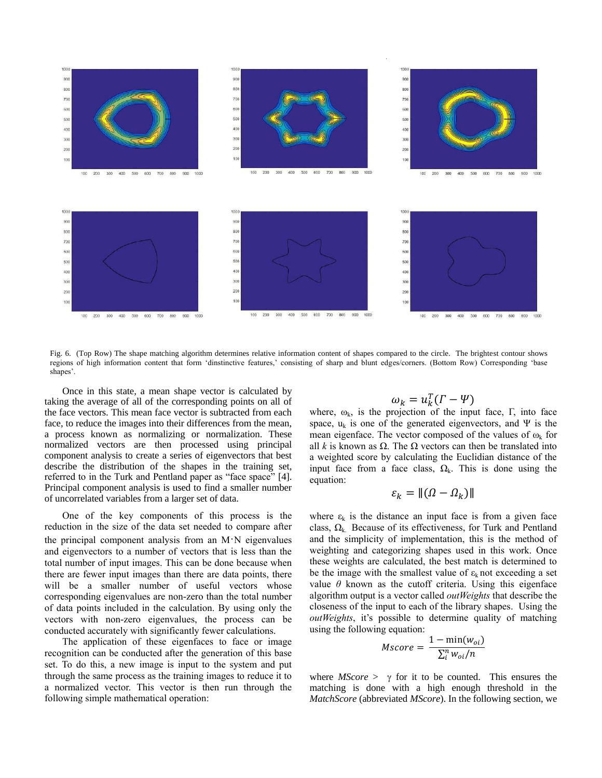

Fig. 6. (Top Row) The shape matching algorithm determines relative information content of shapes compared to the circle. The brightest contour shows regions of high information content that form 'dinstinctive features,' consisting of sharp and blunt edges/corners. (Bottom Row) Corresponding 'base shapes'.

Once in this state, a mean shape vector is calculated by taking the average of all of the corresponding points on all of the face vectors. This mean face vector is subtracted from each face, to reduce the images into their differences from the mean, a process known as normalizing or normalization. These normalized vectors are then processed using principal component analysis to create a series of eigenvectors that best describe the distribution of the shapes in the training set, referred to in the Turk and Pentland paper as "face space" [4]. Principal component analysis is used to find a smaller number of uncorrelated variables from a larger set of data.

One of the key components of this process is the reduction in the size of the data set needed to compare after the principal component analysis from an M·N eigenvalues and eigenvectors to a number of vectors that is less than the total number of input images. This can be done because when there are fewer input images than there are data points, there will be a smaller number of useful vectors whose corresponding eigenvalues are non-zero than the total number of data points included in the calculation. By using only the vectors with non-zero eigenvalues, the process can be conducted accurately with significantly fewer calculations.

The application of these eigenfaces to face or image recognition can be conducted after the generation of this base set. To do this, a new image is input to the system and put through the same process as the training images to reduce it to a normalized vector. This vector is then run through the following simple mathematical operation:

$$
\omega_k = u_k^T(\Gamma - \Psi)
$$

where,  $\omega_{k}$ , is the projection of the input face, Γ, into face space,  $u_k$  is one of the generated eigenvectors, and Ψ is the mean eigenface. The vector composed of the values of  $\omega_k$  for all *k* is known as  $\Omega$ . The  $\Omega$  vectors can then be translated into a weighted score by calculating the Euclidian distance of the input face from a face class,  $\Omega_k$ . This is done using the equation:

$$
\varepsilon_k = \| (\Omega - \Omega_k) \|
$$

where  $\varepsilon_k$  is the distance an input face is from a given face class,  $\Omega_{k}$ . Because of its effectiveness, for Turk and Pentland and the simplicity of implementation, this is the method of weighting and categorizing shapes used in this work. Once these weights are calculated, the best match is determined to be the image with the smallest value of  $\varepsilon_k$  not exceeding a set value  $\theta$  known as the cutoff criteria. Using this eigenface algorithm output is a vector called *outWeights* that describe the closeness of the input to each of the library shapes. Using the *outWeights*, it's possible to determine quality of matching using the following equation:

$$
Mscore = \frac{1 - \min(w_{oi})}{\sum_{i}^{n} w_{oi}/n}
$$

where  $MScore > \gamma$  for it to be counted. This ensures the matching is done with a high enough threshold in the *MatchScore* (abbreviated *MScore*). In the following section, we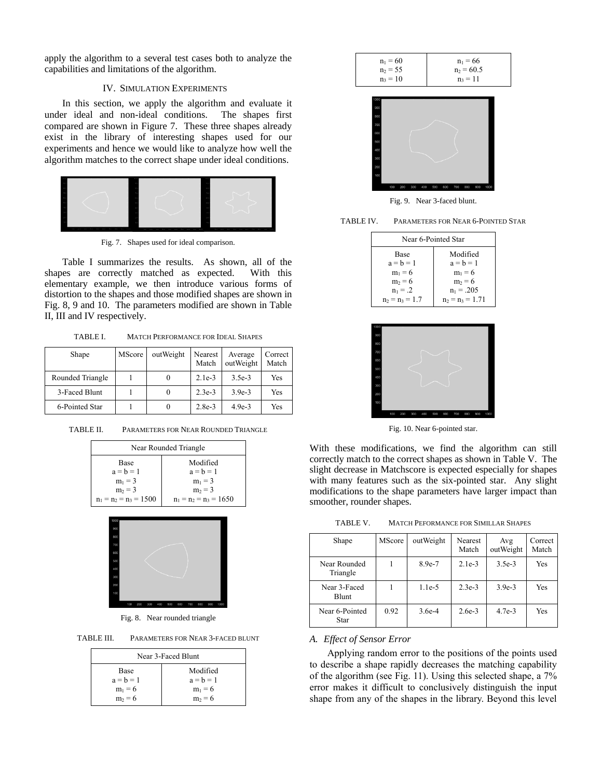apply the algorithm to a several test cases both to analyze the capabilities and limitations of the algorithm.

# IV. SIMULATION EXPERIMENTS

In this section, we apply the algorithm and evaluate it under ideal and non-ideal conditions. The shapes first compared are shown in Figure 7. These three shapes already exist in the library of interesting shapes used for our experiments and hence we would like to analyze how well the algorithm matches to the correct shape under ideal conditions.



Fig. 7. Shapes used for ideal comparison.

Table I summarizes the results. As shown, all of the shapes are correctly matched as expected. With this elementary example, we then introduce various forms of distortion to the shapes and those modified shapes are shown in Fig. 8, 9 and 10. The parameters modified are shown in Table II, III and IV respectively.

TABLE I. MATCH PERFORMANCE FOR IDEAL SHAPES

| Shape            | MScore | outWeight | Nearest<br>Match | Average<br>outWeight | Correct<br>Match |
|------------------|--------|-----------|------------------|----------------------|------------------|
| Rounded Triangle |        |           | $2.1e-3$         | $3.5e-3$             | Yes              |
| 3-Faced Blunt    |        |           | $2.3e-3$         | $3.9e-3$             | Yes              |
| 6-Pointed Star   |        |           | $2.8e-3$         | $4.9e-3$             | Yes              |

TABLE II. PARAMETERS FOR NEAR ROUNDED TRIANGLE

| Near Rounded Triangle    |                          |  |  |  |
|--------------------------|--------------------------|--|--|--|
| Base                     | Modified                 |  |  |  |
| $a = b = 1$              | $a = b = 1$              |  |  |  |
| $m_1 = 3$                | $m_1 = 3$                |  |  |  |
| $m_2 = 3$                | $m_2 = 3$                |  |  |  |
| $n_1 = n_2 = n_3 = 1500$ | $n_1 = n_2 = n_3 = 1650$ |  |  |  |



Fig. 8. Near rounded triangle

TABLE III. PARAMETERS FOR NEAR 3-FACED BLUNT

| Near 3-Faced Blunt |             |  |  |
|--------------------|-------------|--|--|
| Base               | Modified    |  |  |
| $a = h = 1$        | $a = b = 1$ |  |  |
| $m_1 = 6$          | $m_1 = 6$   |  |  |
| $m_2 = 6$          | $m_2 = 6$   |  |  |





Fig. 9. Near 3-faced blunt.

TABLE IV. PARAMETERS FOR NEAR 6-POINTED STAR

| Near 6-Pointed Star |                    |  |  |  |
|---------------------|--------------------|--|--|--|
| <b>Base</b>         | Modified           |  |  |  |
| $a = h = 1$         | $a = h = 1$        |  |  |  |
| $m_1 = 6$           | $m_1 = 6$          |  |  |  |
| $m_2 = 6$           | $m_2 = 6$          |  |  |  |
| $n_1 = .2$          | $n_1 = .205$       |  |  |  |
| $n_2 = n_3 = 1.7$   | $n_2 = n_3 = 1.71$ |  |  |  |



Fig. 10. Near 6-pointed star.

With these modifications, we find the algorithm can still correctly match to the correct shapes as shown in Table V. The slight decrease in Matchscore is expected especially for shapes with many features such as the six-pointed star. Any slight modifications to the shape parameters have larger impact than smoother, rounder shapes.

TABLE V. MATCH PEFORMANCE FOR SIMILLAR SHAPES

|  | Shape                    | <b>MScore</b> | outWeight | Nearest<br>Match | Avg<br>outWeight | Correct<br>Match |
|--|--------------------------|---------------|-----------|------------------|------------------|------------------|
|  | Near Rounded<br>Triangle |               | $8.9e-7$  | $2.1e-3$         | $3.5e-3$         | Yes              |
|  | Near 3-Faced<br>Blunt    |               | $1.1e-5$  | $2.3e-3$         | $3.9e-3$         | Yes              |
|  | Near 6-Pointed<br>Star   | 0.92          | $3.6e-4$  | $2.6e-3$         | $4.7e-3$         | Yes              |

# *A. Effect of Sensor Error*

Applying random error to the positions of the points used to describe a shape rapidly decreases the matching capability of the algorithm (see Fig. 11). Using this selected shape, a 7% error makes it difficult to conclusively distinguish the input shape from any of the shapes in the library. Beyond this level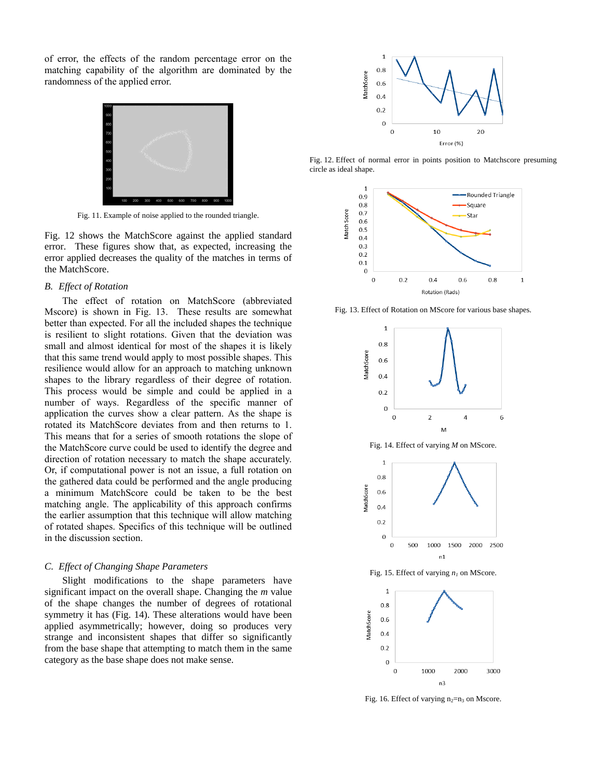of error, the effects of the random percentage error on the matching capability of the algorithm are dominated by the randomness of the applied error.



Fig. 11. Example of noise applied to the rounded triangle.

Fig. 12 shows the MatchScore against the applied standard error. These figures show that, as expected, increasing the error applied decreases the quality of the matches in terms of the MatchScore.

# *B. Effect of Rotation*

The effect of rotation on MatchScore (abbreviated Mscore) is shown in Fig. 13. These results are somewhat better than expected. For all the included shapes the technique is resilient to slight rotations. Given that the deviation was small and almost identical for most of the shapes it is likely that this same trend would apply to most possible shapes. This resilience would allow for an approach to matching unknown shapes to the library regardless of their degree of rotation. This process would be simple and could be applied in a number of ways. Regardless of the specific manner of application the curves show a clear pattern. As the shape is rotated its MatchScore deviates from and then returns to 1. This means that for a series of smooth rotations the slope of the MatchScore curve could be used to identify the degree and direction of rotation necessary to match the shape accurately. Or, if computational power is not an issue, a full rotation on the gathered data could be performed and the angle producing a minimum MatchScore could be taken to be the best matching angle. The applicability of this approach confirms the earlier assumption that this technique will allow matching of rotated shapes. Specifics of this technique will be outlined in the discussion section.

# *C. Effect of Changing Shape Parameters*

Slight modifications to the shape parameters have significant impact on the overall shape. Changing the *m* value of the shape changes the number of degrees of rotational symmetry it has (Fig. 14). These alterations would have been applied asymmetrically; however, doing so produces very strange and inconsistent shapes that differ so significantly from the base shape that attempting to match them in the same category as the base shape does not make sense.



Fig. 12. Effect of normal error in points position to Matchscore presuming circle as ideal shape.



Fig. 13. Effect of Rotation on MScore for various base shapes.



Fig. 14. Effect of varying *M* on MScore.



Fig. 15. Effect of varying *n<sup>1</sup>* on MScore.



Fig. 16. Effect of varying  $n_2=n_3$  on Mscore.